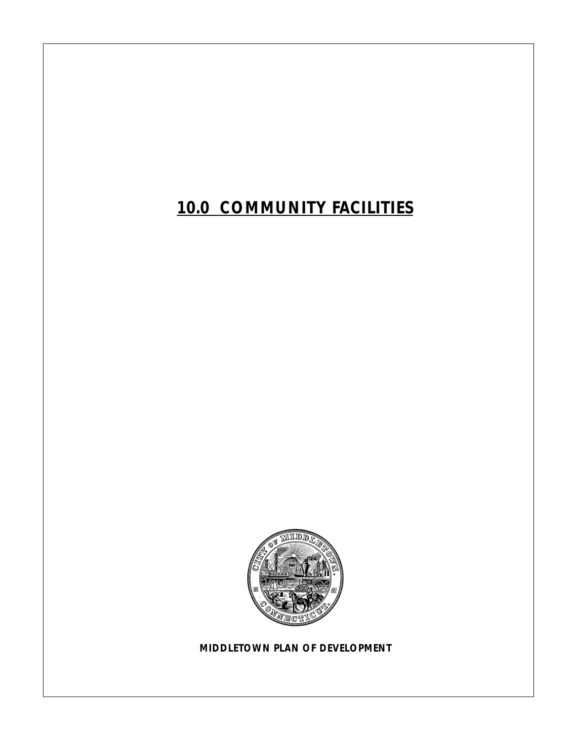*10.0 COMMUNITY FACILITIES*



*MIDDLETOWN PLAN OF DEVELOPMENT*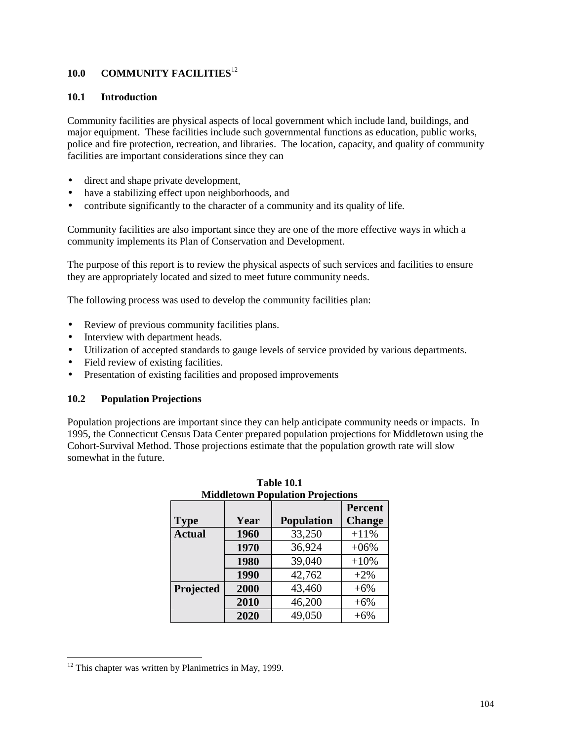# **10.0 COMMUNITY FACILITIES**<sup>12</sup>

#### **10.1 Introduction**

Community facilities are physical aspects of local government which include land, buildings, and major equipment. These facilities include such governmental functions as education, public works, police and fire protection, recreation, and libraries. The location, capacity, and quality of community facilities are important considerations since they can

- direct and shape private development,
- have a stabilizing effect upon neighborhoods, and
- contribute significantly to the character of a community and its quality of life.

Community facilities are also important since they are one of the more effective ways in which a community implements its Plan of Conservation and Development.

The purpose of this report is to review the physical aspects of such services and facilities to ensure they are appropriately located and sized to meet future community needs.

The following process was used to develop the community facilities plan:

- Review of previous community facilities plans.
- Interview with department heads.
- Utilization of accepted standards to gauge levels of service provided by various departments.
- Field review of existing facilities.
- Presentation of existing facilities and proposed improvements

#### **10.2 Population Projections**

Population projections are important since they can help anticipate community needs or impacts. In 1995, the Connecticut Census Data Center prepared population projections for Middletown using the Cohort-Survival Method. Those projections estimate that the population growth rate will slow somewhat in the future.

| <b>Middletown Population Projections</b> |                |                   |               |  |  |
|------------------------------------------|----------------|-------------------|---------------|--|--|
|                                          | <b>Percent</b> |                   |               |  |  |
| <b>Type</b>                              | Year           | <b>Population</b> | <b>Change</b> |  |  |
| <b>Actual</b>                            | 1960           | 33,250            | $+11%$        |  |  |
|                                          | 1970           | 36,924            | $+06%$        |  |  |
|                                          | 1980           | 39,040            | $+10%$        |  |  |
|                                          | 1990           | 42,762            | $+2\%$        |  |  |
| Projected                                | 2000           | 43,460            | $+6%$         |  |  |
|                                          | 2010           | 46,200            | $+6%$         |  |  |
|                                          | 2020           | 49,050            | $+6%$         |  |  |

**Table 10.1** 

 $\overline{a}$ 

 $12$  This chapter was written by Planimetrics in May, 1999.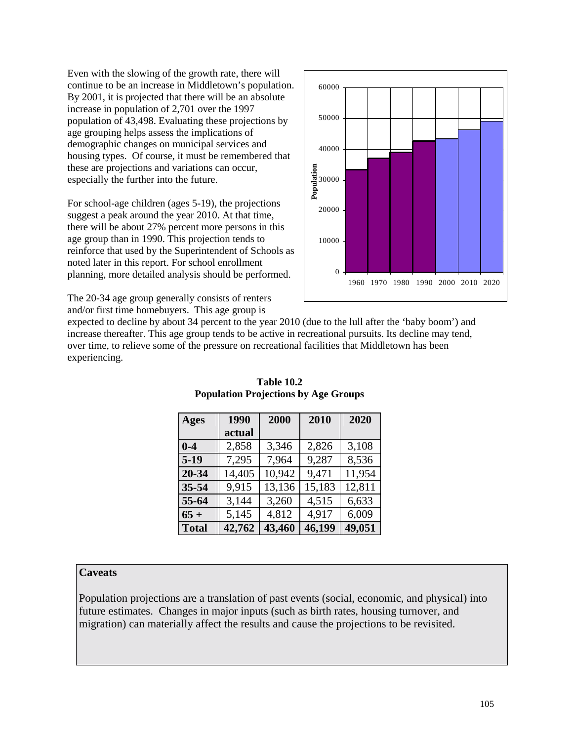Even with the slowing of the growth rate, there will continue to be an increase in Middletown's population. By 2001, it is projected that there will be an absolute increase in population of 2,701 over the 1997 population of 43,498. Evaluating these projections by age grouping helps assess the implications of demographic changes on municipal services and housing types. Of course, it must be remembered that these are projections and variations can occur, especially the further into the future.

For school-age children (ages 5-19), the projections suggest a peak around the year 2010. At that time, there will be about 27% percent more persons in this age group than in 1990. This projection tends to reinforce that used by the Superintendent of Schools as noted later in this report. For school enrollment planning, more detailed analysis should be performed.



The 20-34 age group generally consists of renters and/or first time homebuyers. This age group is

expected to decline by about 34 percent to the year 2010 (due to the lull after the 'baby boom') and increase thereafter. This age group tends to be active in recreational pursuits. Its decline may tend, over time, to relieve some of the pressure on recreational facilities that Middletown has been experiencing.

| <b>Ages</b>  | 1990   | 2000   | 2010   | 2020   |
|--------------|--------|--------|--------|--------|
|              | actual |        |        |        |
| $0 - 4$      | 2,858  | 3,346  | 2,826  | 3,108  |
| $5-19$       | 7,295  | 7,964  | 9,287  | 8,536  |
| 20-34        | 14,405 | 10,942 | 9,471  | 11,954 |
| 35-54        | 9,915  | 13,136 | 15,183 | 12,811 |
| 55-64        | 3,144  | 3,260  | 4,515  | 6,633  |
| $65 +$       | 5,145  | 4,812  | 4,917  | 6,009  |
| <b>Total</b> | 42,762 | 43,460 | 46,199 | 49,051 |

**Table 10.2 Population Projections by Age Groups** 

# **Caveats**

Population projections are a translation of past events (social, economic, and physical) into future estimates. Changes in major inputs (such as birth rates, housing turnover, and migration) can materially affect the results and cause the projections to be revisited.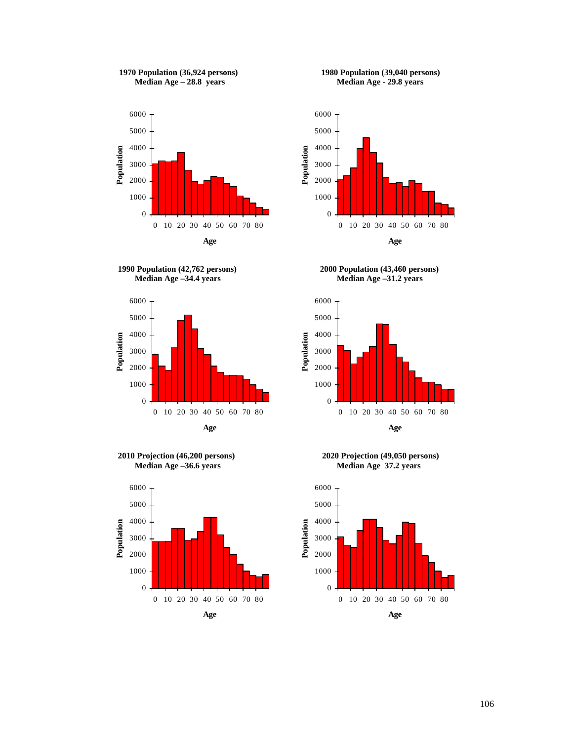















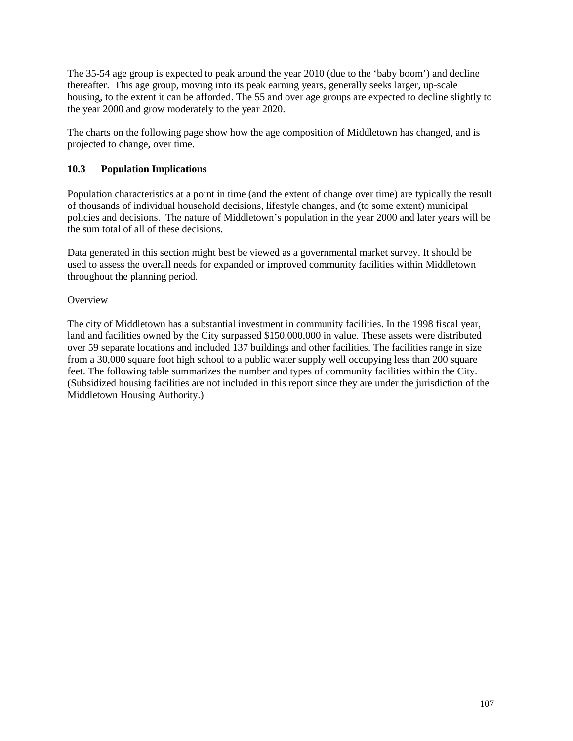The 35-54 age group is expected to peak around the year 2010 (due to the 'baby boom') and decline thereafter. This age group, moving into its peak earning years, generally seeks larger, up-scale housing, to the extent it can be afforded. The 55 and over age groups are expected to decline slightly to the year 2000 and grow moderately to the year 2020.

The charts on the following page show how the age composition of Middletown has changed, and is projected to change, over time.

# **10.3 Population Implications**

Population characteristics at a point in time (and the extent of change over time) are typically the result of thousands of individual household decisions, lifestyle changes, and (to some extent) municipal policies and decisions. The nature of Middletown's population in the year 2000 and later years will be the sum total of all of these decisions.

Data generated in this section might best be viewed as a governmental market survey. It should be used to assess the overall needs for expanded or improved community facilities within Middletown throughout the planning period.

## **Overview**

The city of Middletown has a substantial investment in community facilities. In the 1998 fiscal year, land and facilities owned by the City surpassed \$150,000,000 in value. These assets were distributed over 59 separate locations and included 137 buildings and other facilities. The facilities range in size from a 30,000 square foot high school to a public water supply well occupying less than 200 square feet. The following table summarizes the number and types of community facilities within the City. (Subsidized housing facilities are not included in this report since they are under the jurisdiction of the Middletown Housing Authority.)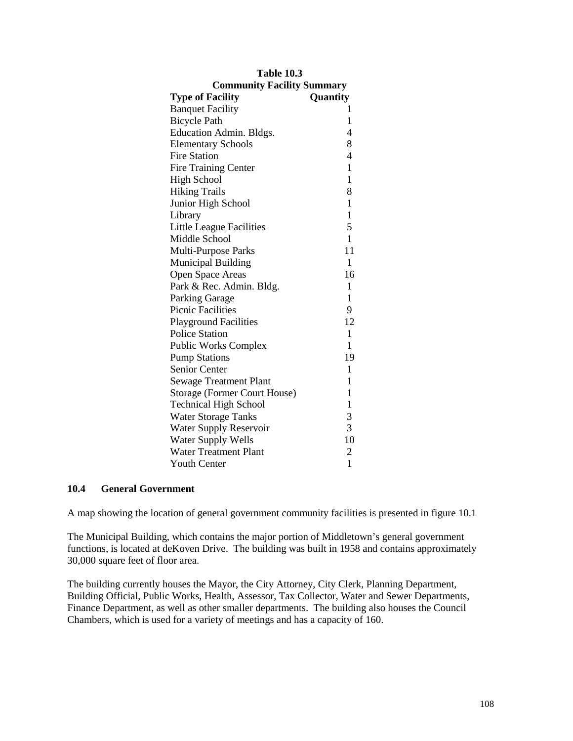| <b>Table 10.3</b>                   |                          |
|-------------------------------------|--------------------------|
| <b>Community Facility Summary</b>   |                          |
| <b>Type of Facility</b>             | Quantity                 |
| <b>Banquet Facility</b>             | 1                        |
| <b>Bicycle Path</b>                 | $\mathbf{1}$             |
| <b>Education Admin. Bldgs.</b>      | $\overline{\mathcal{A}}$ |
| <b>Elementary Schools</b>           | 8                        |
| <b>Fire Station</b>                 | $\overline{4}$           |
| <b>Fire Training Center</b>         | $\mathbf{1}$             |
| <b>High School</b>                  | $\mathbf{1}$             |
| <b>Hiking Trails</b>                | 8                        |
| Junior High School                  | $\mathbf{1}$             |
| Library                             | $\mathbf{1}$             |
| <b>Little League Facilities</b>     | 5                        |
| Middle School                       | $\mathbf{1}$             |
| Multi-Purpose Parks                 | 11                       |
| <b>Municipal Building</b>           | $\mathbf{1}$             |
| <b>Open Space Areas</b>             | 16                       |
| Park & Rec. Admin. Bldg.            | $\mathbf{1}$             |
| <b>Parking Garage</b>               | $\mathbf{1}$             |
| <b>Picnic Facilities</b>            | 9                        |
| <b>Playground Facilities</b>        | 12                       |
| <b>Police Station</b>               | $\mathbf{1}$             |
| <b>Public Works Complex</b>         | $\mathbf{1}$             |
| <b>Pump Stations</b>                | 19                       |
| <b>Senior Center</b>                | $\mathbf{1}$             |
| <b>Sewage Treatment Plant</b>       | $\mathbf{1}$             |
| <b>Storage (Former Court House)</b> | $\mathbf{1}$             |
| <b>Technical High School</b>        | $\mathbf{1}$             |
| <b>Water Storage Tanks</b>          | 3                        |
| <b>Water Supply Reservoir</b>       | 3                        |
| <b>Water Supply Wells</b>           | 10                       |
| <b>Water Treatment Plant</b>        | $\overline{c}$           |
| <b>Youth Center</b>                 | $\mathbf{1}$             |

## **10.4 General Government**

A map showing the location of general government community facilities is presented in figure 10.1

The Municipal Building, which contains the major portion of Middletown's general government functions, is located at deKoven Drive. The building was built in 1958 and contains approximately 30,000 square feet of floor area.

The building currently houses the Mayor, the City Attorney, City Clerk, Planning Department, Building Official, Public Works, Health, Assessor, Tax Collector, Water and Sewer Departments, Finance Department, as well as other smaller departments. The building also houses the Council Chambers, which is used for a variety of meetings and has a capacity of 160.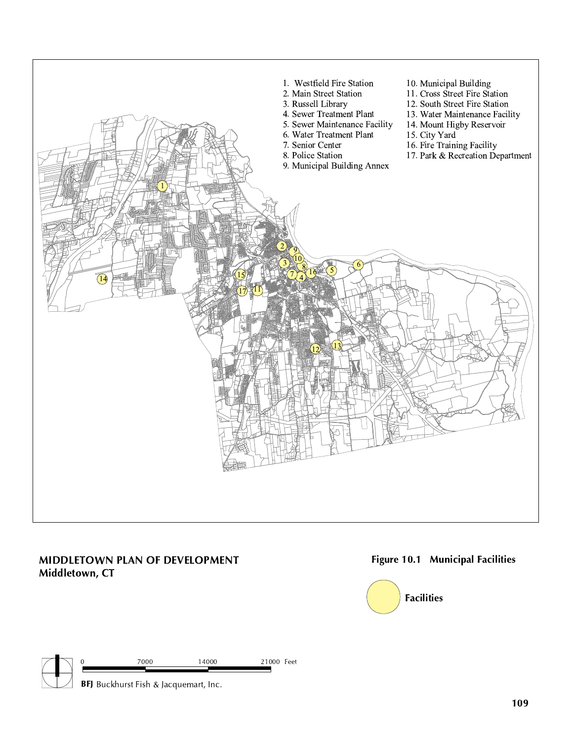

# MIDDLETOWN PLAN OF DEVELOPMENT Middletown, CT

# Figure 10.1 Municipal Facilities



|  |  | 7000 | 21000<br>14000<br>$\sim$ 1 | Feet |
|--|--|------|----------------------------|------|
|  |  |      |                            |      |

 $\Box$  BFJ Buckhurst Fish & Jacquemart, Inc.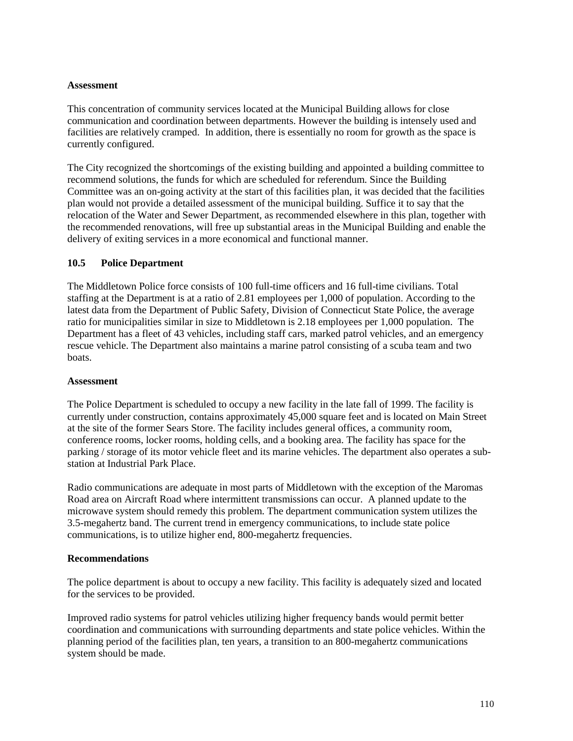## **Assessment**

This concentration of community services located at the Municipal Building allows for close communication and coordination between departments. However the building is intensely used and facilities are relatively cramped. In addition, there is essentially no room for growth as the space is currently configured.

The City recognized the shortcomings of the existing building and appointed a building committee to recommend solutions, the funds for which are scheduled for referendum. Since the Building Committee was an on-going activity at the start of this facilities plan, it was decided that the facilities plan would not provide a detailed assessment of the municipal building. Suffice it to say that the relocation of the Water and Sewer Department, as recommended elsewhere in this plan, together with the recommended renovations, will free up substantial areas in the Municipal Building and enable the delivery of exiting services in a more economical and functional manner.

## **10.5 Police Department**

The Middletown Police force consists of 100 full-time officers and 16 full-time civilians. Total staffing at the Department is at a ratio of 2.81 employees per 1,000 of population. According to the latest data from the Department of Public Safety, Division of Connecticut State Police, the average ratio for municipalities similar in size to Middletown is 2.18 employees per 1,000 population. The Department has a fleet of 43 vehicles, including staff cars, marked patrol vehicles, and an emergency rescue vehicle. The Department also maintains a marine patrol consisting of a scuba team and two boats.

## **Assessment**

The Police Department is scheduled to occupy a new facility in the late fall of 1999. The facility is currently under construction, contains approximately 45,000 square feet and is located on Main Street at the site of the former Sears Store. The facility includes general offices, a community room, conference rooms, locker rooms, holding cells, and a booking area. The facility has space for the parking / storage of its motor vehicle fleet and its marine vehicles. The department also operates a substation at Industrial Park Place.

Radio communications are adequate in most parts of Middletown with the exception of the Maromas Road area on Aircraft Road where intermittent transmissions can occur. A planned update to the microwave system should remedy this problem. The department communication system utilizes the 3.5-megahertz band. The current trend in emergency communications, to include state police communications, is to utilize higher end, 800-megahertz frequencies.

## **Recommendations**

The police department is about to occupy a new facility. This facility is adequately sized and located for the services to be provided.

Improved radio systems for patrol vehicles utilizing higher frequency bands would permit better coordination and communications with surrounding departments and state police vehicles. Within the planning period of the facilities plan, ten years, a transition to an 800-megahertz communications system should be made.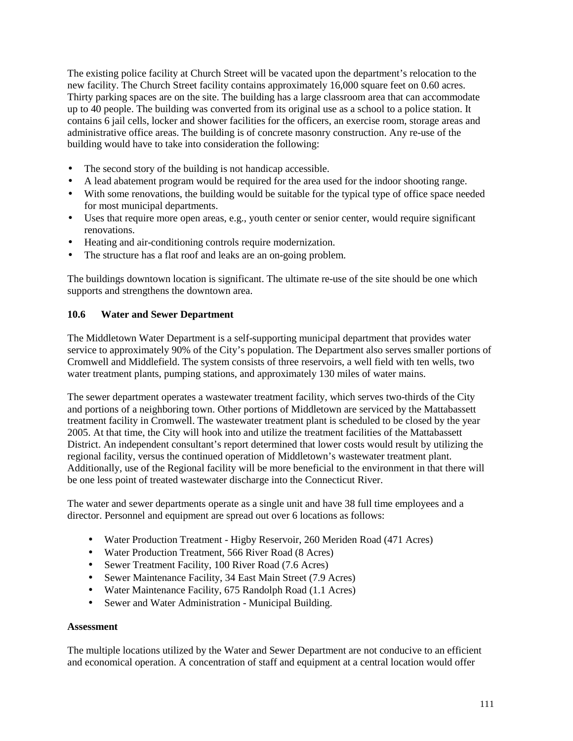The existing police facility at Church Street will be vacated upon the department's relocation to the new facility. The Church Street facility contains approximately 16,000 square feet on 0.60 acres. Thirty parking spaces are on the site. The building has a large classroom area that can accommodate up to 40 people. The building was converted from its original use as a school to a police station. It contains 6 jail cells, locker and shower facilities for the officers, an exercise room, storage areas and administrative office areas. The building is of concrete masonry construction. Any re-use of the building would have to take into consideration the following:

- The second story of the building is not handicap accessible.
- A lead abatement program would be required for the area used for the indoor shooting range.
- With some renovations, the building would be suitable for the typical type of office space needed for most municipal departments.
- Uses that require more open areas, e.g., youth center or senior center, would require significant renovations.
- Heating and air-conditioning controls require modernization.
- The structure has a flat roof and leaks are an on-going problem.

The buildings downtown location is significant. The ultimate re-use of the site should be one which supports and strengthens the downtown area.

## **10.6 Water and Sewer Department**

The Middletown Water Department is a self-supporting municipal department that provides water service to approximately 90% of the City's population. The Department also serves smaller portions of Cromwell and Middlefield. The system consists of three reservoirs, a well field with ten wells, two water treatment plants, pumping stations, and approximately 130 miles of water mains.

The sewer department operates a wastewater treatment facility, which serves two-thirds of the City and portions of a neighboring town. Other portions of Middletown are serviced by the Mattabassett treatment facility in Cromwell. The wastewater treatment plant is scheduled to be closed by the year 2005. At that time, the City will hook into and utilize the treatment facilities of the Mattabassett District. An independent consultant's report determined that lower costs would result by utilizing the regional facility, versus the continued operation of Middletown's wastewater treatment plant. Additionally, use of the Regional facility will be more beneficial to the environment in that there will be one less point of treated wastewater discharge into the Connecticut River.

The water and sewer departments operate as a single unit and have 38 full time employees and a director. Personnel and equipment are spread out over 6 locations as follows:

- Water Production Treatment Higby Reservoir, 260 Meriden Road (471 Acres)
- Water Production Treatment, 566 River Road (8 Acres)
- Sewer Treatment Facility, 100 River Road (7.6 Acres)
- Sewer Maintenance Facility, 34 East Main Street (7.9 Acres)
- Water Maintenance Facility, 675 Randolph Road (1.1 Acres)
- Sewer and Water Administration Municipal Building.

## **Assessment**

The multiple locations utilized by the Water and Sewer Department are not conducive to an efficient and economical operation. A concentration of staff and equipment at a central location would offer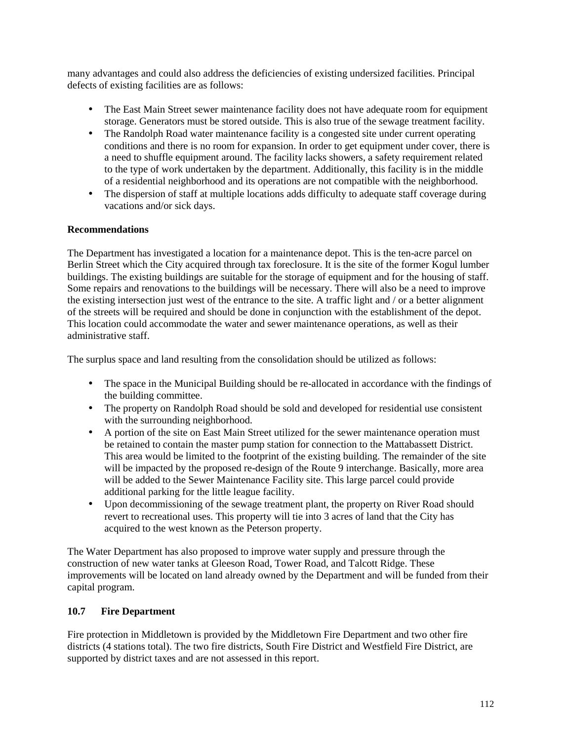many advantages and could also address the deficiencies of existing undersized facilities. Principal defects of existing facilities are as follows:

- The East Main Street sewer maintenance facility does not have adequate room for equipment storage. Generators must be stored outside. This is also true of the sewage treatment facility.
- The Randolph Road water maintenance facility is a congested site under current operating conditions and there is no room for expansion. In order to get equipment under cover, there is a need to shuffle equipment around. The facility lacks showers, a safety requirement related to the type of work undertaken by the department. Additionally, this facility is in the middle of a residential neighborhood and its operations are not compatible with the neighborhood.
- The dispersion of staff at multiple locations adds difficulty to adequate staff coverage during vacations and/or sick days.

# **Recommendations**

The Department has investigated a location for a maintenance depot. This is the ten-acre parcel on Berlin Street which the City acquired through tax foreclosure. It is the site of the former Kogul lumber buildings. The existing buildings are suitable for the storage of equipment and for the housing of staff. Some repairs and renovations to the buildings will be necessary. There will also be a need to improve the existing intersection just west of the entrance to the site. A traffic light and / or a better alignment of the streets will be required and should be done in conjunction with the establishment of the depot. This location could accommodate the water and sewer maintenance operations, as well as their administrative staff.

The surplus space and land resulting from the consolidation should be utilized as follows:

- The space in the Municipal Building should be re-allocated in accordance with the findings of the building committee.
- The property on Randolph Road should be sold and developed for residential use consistent with the surrounding neighborhood.
- A portion of the site on East Main Street utilized for the sewer maintenance operation must be retained to contain the master pump station for connection to the Mattabassett District. This area would be limited to the footprint of the existing building. The remainder of the site will be impacted by the proposed re-design of the Route 9 interchange. Basically, more area will be added to the Sewer Maintenance Facility site. This large parcel could provide additional parking for the little league facility.
- Upon decommissioning of the sewage treatment plant, the property on River Road should revert to recreational uses. This property will tie into 3 acres of land that the City has acquired to the west known as the Peterson property.

The Water Department has also proposed to improve water supply and pressure through the construction of new water tanks at Gleeson Road, Tower Road, and Talcott Ridge. These improvements will be located on land already owned by the Department and will be funded from their capital program.

## **10.7 Fire Department**

Fire protection in Middletown is provided by the Middletown Fire Department and two other fire districts (4 stations total). The two fire districts, South Fire District and Westfield Fire District, are supported by district taxes and are not assessed in this report.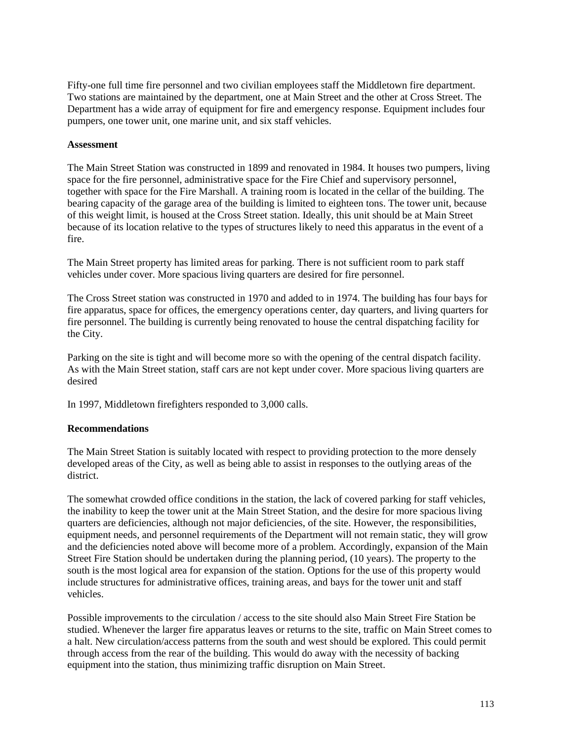Fifty-one full time fire personnel and two civilian employees staff the Middletown fire department. Two stations are maintained by the department, one at Main Street and the other at Cross Street. The Department has a wide array of equipment for fire and emergency response. Equipment includes four pumpers, one tower unit, one marine unit, and six staff vehicles.

#### **Assessment**

The Main Street Station was constructed in 1899 and renovated in 1984. It houses two pumpers, living space for the fire personnel, administrative space for the Fire Chief and supervisory personnel, together with space for the Fire Marshall. A training room is located in the cellar of the building. The bearing capacity of the garage area of the building is limited to eighteen tons. The tower unit, because of this weight limit, is housed at the Cross Street station. Ideally, this unit should be at Main Street because of its location relative to the types of structures likely to need this apparatus in the event of a fire.

The Main Street property has limited areas for parking. There is not sufficient room to park staff vehicles under cover. More spacious living quarters are desired for fire personnel.

The Cross Street station was constructed in 1970 and added to in 1974. The building has four bays for fire apparatus, space for offices, the emergency operations center, day quarters, and living quarters for fire personnel. The building is currently being renovated to house the central dispatching facility for the City.

Parking on the site is tight and will become more so with the opening of the central dispatch facility. As with the Main Street station, staff cars are not kept under cover. More spacious living quarters are desired

In 1997, Middletown firefighters responded to 3,000 calls.

## **Recommendations**

The Main Street Station is suitably located with respect to providing protection to the more densely developed areas of the City, as well as being able to assist in responses to the outlying areas of the district.

The somewhat crowded office conditions in the station, the lack of covered parking for staff vehicles, the inability to keep the tower unit at the Main Street Station, and the desire for more spacious living quarters are deficiencies, although not major deficiencies, of the site. However, the responsibilities, equipment needs, and personnel requirements of the Department will not remain static, they will grow and the deficiencies noted above will become more of a problem. Accordingly, expansion of the Main Street Fire Station should be undertaken during the planning period, (10 years). The property to the south is the most logical area for expansion of the station. Options for the use of this property would include structures for administrative offices, training areas, and bays for the tower unit and staff vehicles.

Possible improvements to the circulation / access to the site should also Main Street Fire Station be studied. Whenever the larger fire apparatus leaves or returns to the site, traffic on Main Street comes to a halt. New circulation/access patterns from the south and west should be explored. This could permit through access from the rear of the building. This would do away with the necessity of backing equipment into the station, thus minimizing traffic disruption on Main Street.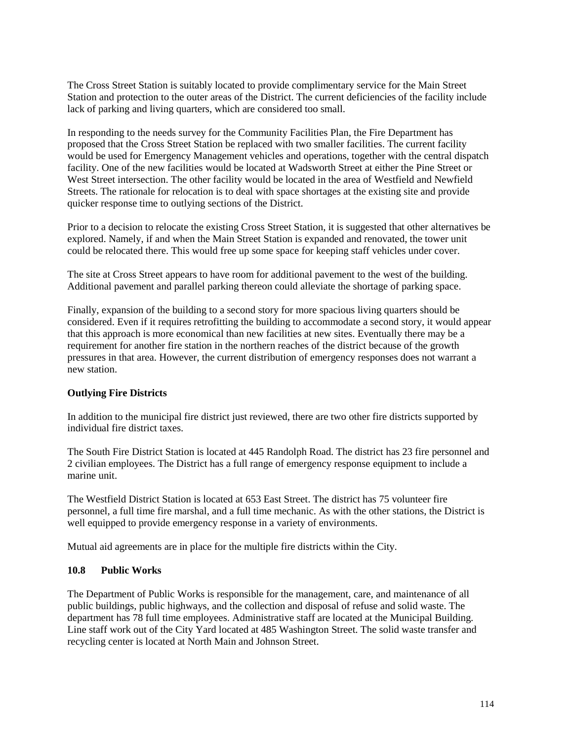The Cross Street Station is suitably located to provide complimentary service for the Main Street Station and protection to the outer areas of the District. The current deficiencies of the facility include lack of parking and living quarters, which are considered too small.

In responding to the needs survey for the Community Facilities Plan, the Fire Department has proposed that the Cross Street Station be replaced with two smaller facilities. The current facility would be used for Emergency Management vehicles and operations, together with the central dispatch facility. One of the new facilities would be located at Wadsworth Street at either the Pine Street or West Street intersection. The other facility would be located in the area of Westfield and Newfield Streets. The rationale for relocation is to deal with space shortages at the existing site and provide quicker response time to outlying sections of the District.

Prior to a decision to relocate the existing Cross Street Station, it is suggested that other alternatives be explored. Namely, if and when the Main Street Station is expanded and renovated, the tower unit could be relocated there. This would free up some space for keeping staff vehicles under cover.

The site at Cross Street appears to have room for additional pavement to the west of the building. Additional pavement and parallel parking thereon could alleviate the shortage of parking space.

Finally, expansion of the building to a second story for more spacious living quarters should be considered. Even if it requires retrofitting the building to accommodate a second story, it would appear that this approach is more economical than new facilities at new sites. Eventually there may be a requirement for another fire station in the northern reaches of the district because of the growth pressures in that area. However, the current distribution of emergency responses does not warrant a new station.

## **Outlying Fire Districts**

In addition to the municipal fire district just reviewed, there are two other fire districts supported by individual fire district taxes.

The South Fire District Station is located at 445 Randolph Road. The district has 23 fire personnel and 2 civilian employees. The District has a full range of emergency response equipment to include a marine unit.

The Westfield District Station is located at 653 East Street. The district has 75 volunteer fire personnel, a full time fire marshal, and a full time mechanic. As with the other stations, the District is well equipped to provide emergency response in a variety of environments.

Mutual aid agreements are in place for the multiple fire districts within the City.

## **10.8 Public Works**

The Department of Public Works is responsible for the management, care, and maintenance of all public buildings, public highways, and the collection and disposal of refuse and solid waste. The department has 78 full time employees. Administrative staff are located at the Municipal Building. Line staff work out of the City Yard located at 485 Washington Street. The solid waste transfer and recycling center is located at North Main and Johnson Street.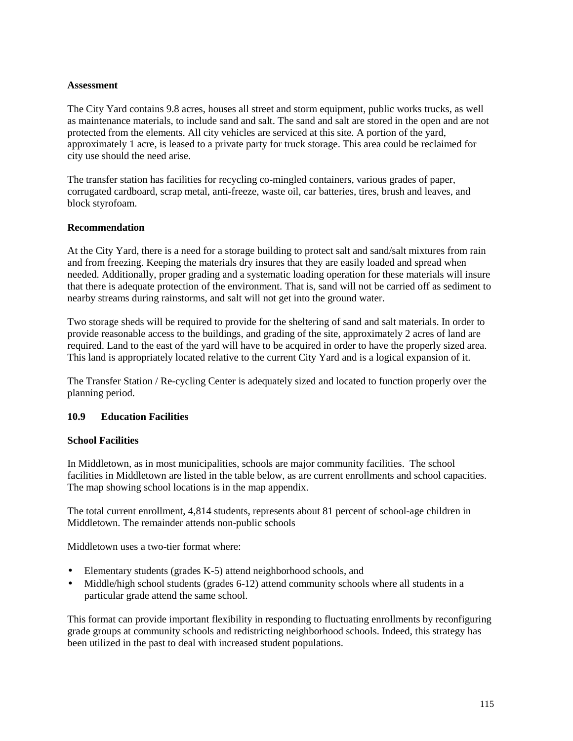## **Assessment**

The City Yard contains 9.8 acres, houses all street and storm equipment, public works trucks, as well as maintenance materials, to include sand and salt. The sand and salt are stored in the open and are not protected from the elements. All city vehicles are serviced at this site. A portion of the yard, approximately 1 acre, is leased to a private party for truck storage. This area could be reclaimed for city use should the need arise.

The transfer station has facilities for recycling co-mingled containers, various grades of paper, corrugated cardboard, scrap metal, anti-freeze, waste oil, car batteries, tires, brush and leaves, and block styrofoam.

## **Recommendation**

At the City Yard, there is a need for a storage building to protect salt and sand/salt mixtures from rain and from freezing. Keeping the materials dry insures that they are easily loaded and spread when needed. Additionally, proper grading and a systematic loading operation for these materials will insure that there is adequate protection of the environment. That is, sand will not be carried off as sediment to nearby streams during rainstorms, and salt will not get into the ground water.

Two storage sheds will be required to provide for the sheltering of sand and salt materials. In order to provide reasonable access to the buildings, and grading of the site, approximately 2 acres of land are required. Land to the east of the yard will have to be acquired in order to have the properly sized area. This land is appropriately located relative to the current City Yard and is a logical expansion of it.

The Transfer Station / Re-cycling Center is adequately sized and located to function properly over the planning period.

# **10.9 Education Facilities**

## **School Facilities**

In Middletown, as in most municipalities, schools are major community facilities. The school facilities in Middletown are listed in the table below, as are current enrollments and school capacities. The map showing school locations is in the map appendix.

The total current enrollment, 4,814 students, represents about 81 percent of school-age children in Middletown. The remainder attends non-public schools

Middletown uses a two-tier format where:

- Elementary students (grades K-5) attend neighborhood schools, and
- Middle/high school students (grades 6-12) attend community schools where all students in a particular grade attend the same school.

This format can provide important flexibility in responding to fluctuating enrollments by reconfiguring grade groups at community schools and redistricting neighborhood schools. Indeed, this strategy has been utilized in the past to deal with increased student populations.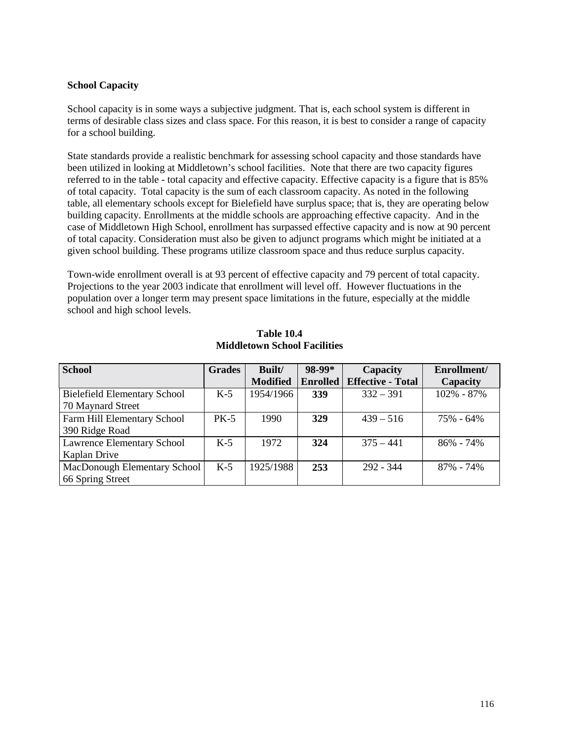# **School Capacity**

School capacity is in some ways a subjective judgment. That is, each school system is different in terms of desirable class sizes and class space. For this reason, it is best to consider a range of capacity for a school building.

State standards provide a realistic benchmark for assessing school capacity and those standards have been utilized in looking at Middletown's school facilities. Note that there are two capacity figures referred to in the table - total capacity and effective capacity. Effective capacity is a figure that is 85% of total capacity. Total capacity is the sum of each classroom capacity. As noted in the following table, all elementary schools except for Bielefield have surplus space; that is, they are operating below building capacity. Enrollments at the middle schools are approaching effective capacity. And in the case of Middletown High School, enrollment has surpassed effective capacity and is now at 90 percent of total capacity. Consideration must also be given to adjunct programs which might be initiated at a given school building. These programs utilize classroom space and thus reduce surplus capacity.

Town-wide enrollment overall is at 93 percent of effective capacity and 79 percent of total capacity. Projections to the year 2003 indicate that enrollment will level off. However fluctuations in the population over a longer term may present space limitations in the future, especially at the middle school and high school levels.

| <b>School</b>                       | <b>Grades</b> | Built/          | 98-99*          | <b>Capacity</b>          | Enrollment/   |
|-------------------------------------|---------------|-----------------|-----------------|--------------------------|---------------|
|                                     |               | <b>Modified</b> | <b>Enrolled</b> | <b>Effective - Total</b> | Capacity      |
| <b>Bielefield Elementary School</b> | $K-5$         | 1954/1966       | 339             | $332 - 391$              | 102% - 87%    |
| 70 Maynard Street                   |               |                 |                 |                          |               |
| Farm Hill Elementary School         | $PK-5$        | 1990            | 329             | $439 - 516$              | 75% - 64%     |
| 390 Ridge Road                      |               |                 |                 |                          |               |
| <b>Lawrence Elementary School</b>   | $K-5$         | 1972            | 324             | $375 - 441$              | $86\% - 74\%$ |
| Kaplan Drive                        |               |                 |                 |                          |               |
| MacDonough Elementary School        | $K-5$         | 1925/1988       | 253             | $292 - 344$              | 87% - 74%     |
| 66 Spring Street                    |               |                 |                 |                          |               |

**Table 10.4 Middletown School Facilities**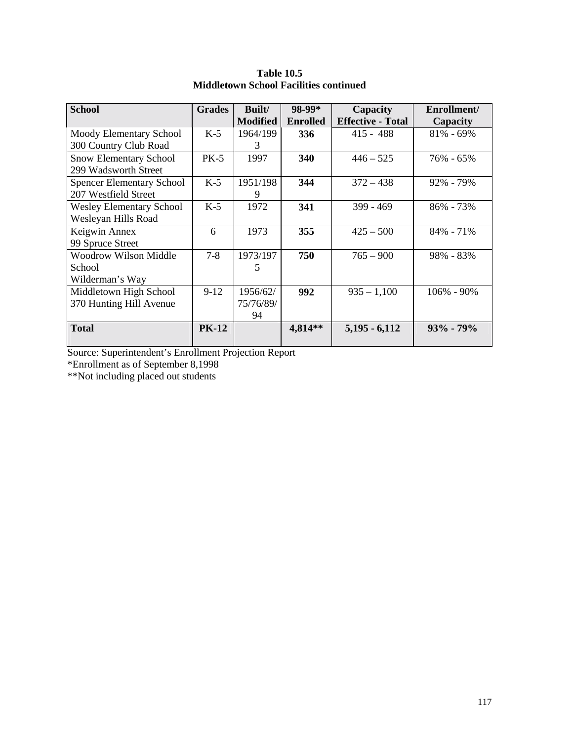| <b>School</b>                    | <b>Grades</b> | Built/          | 98-99*          | Capacity                 | Enrollment/    |
|----------------------------------|---------------|-----------------|-----------------|--------------------------|----------------|
|                                  |               | <b>Modified</b> | <b>Enrolled</b> | <b>Effective - Total</b> | Capacity       |
| Moody Elementary School          | $K-5$         | 1964/199        | 336             | $415 - 488$              | $81\% - 69\%$  |
| 300 Country Club Road            |               | 3               |                 |                          |                |
| <b>Snow Elementary School</b>    | $PK-5$        | 1997            | 340             | $446 - 525$              | 76% - 65%      |
| 299 Wadsworth Street             |               |                 |                 |                          |                |
| <b>Spencer Elementary School</b> | $K-5$         | 1951/198        | 344             | $372 - 438$              | $92\% - 79\%$  |
| 207 Westfield Street             |               | 9               |                 |                          |                |
| <b>Wesley Elementary School</b>  | $K-5$         | 1972            | 341             | $399 - 469$              | $86\% - 73\%$  |
| Wesleyan Hills Road              |               |                 |                 |                          |                |
| Keigwin Annex                    | 6             | 1973            | 355             | $425 - 500$              | 84% - 71%      |
| 99 Spruce Street                 |               |                 |                 |                          |                |
| Woodrow Wilson Middle            | $7 - 8$       | 1973/197        | 750             | $765 - 900$              | 98% - 83%      |
| School                           |               | 5               |                 |                          |                |
| Wilderman's Way                  |               |                 |                 |                          |                |
| Middletown High School           | $9-12$        | 1956/62/        | 992             | $935 - 1,100$            | $106\% - 90\%$ |
| 370 Hunting Hill Avenue          |               | 75/76/89/       |                 |                          |                |
|                                  |               | 94              |                 |                          |                |
| <b>Total</b>                     | <b>PK-12</b>  |                 | 4,814**         | $5,195 - 6,112$          | $93\% - 79\%$  |

**Table 10.5 Middletown School Facilities continued** 

Source: Superintendent's Enrollment Projection Report

\*Enrollment as of September 8,1998

\*\*Not including placed out students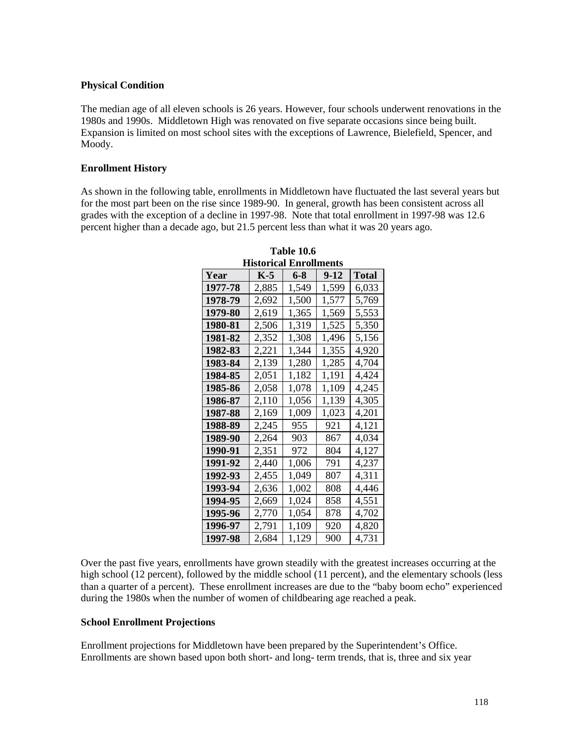## **Physical Condition**

The median age of all eleven schools is 26 years. However, four schools underwent renovations in the 1980s and 1990s. Middletown High was renovated on five separate occasions since being built. Expansion is limited on most school sites with the exceptions of Lawrence, Bielefield, Spencer, and Moody.

## **Enrollment History**

As shown in the following table, enrollments in Middletown have fluctuated the last several years but for the most part been on the rise since 1989-90. In general, growth has been consistent across all grades with the exception of a decline in 1997-98. Note that total enrollment in 1997-98 was 12.6 percent higher than a decade ago, but 21.5 percent less than what it was 20 years ago.

| Year    | K-5   | 6-8   | 9-12  | Total |  |
|---------|-------|-------|-------|-------|--|
| 1977-78 | 2,885 | 1,549 | 1,599 | 6,033 |  |
| 1978-79 | 2,692 | 1,500 | 1,577 | 5,769 |  |
| 1979-80 | 2,619 | 1,365 | 1,569 | 5,553 |  |
| 1980-81 | 2,506 | 1,319 | 1,525 | 5,350 |  |
| 1981-82 | 2,352 | 1,308 | 1,496 | 5,156 |  |
| 1982-83 | 2,221 | 1,344 | 1,355 | 4,920 |  |
| 1983-84 | 2,139 | 1,280 | 1,285 | 4,704 |  |
| 1984-85 | 2,051 | 1,182 | 1,191 | 4,424 |  |
| 1985-86 | 2,058 | 1,078 | 1,109 | 4,245 |  |
| 1986-87 | 2,110 | 1,056 | 1,139 | 4,305 |  |
| 1987-88 | 2.169 | 1.009 | 1,023 | 4,201 |  |
| 1988-89 | 2,245 | 955   | 921   | 4,121 |  |
| 1989-90 | 2,264 | 903   | 867   | 4,034 |  |
| 1990-91 | 2,351 | 972   | 804   | 4,127 |  |
| 1991-92 | 2,440 | 1,006 | 791   | 4,237 |  |
| 1992-93 | 2,455 | 1,049 | 807   | 4,311 |  |
| 1993-94 | 2,636 | 1,002 | 808   | 4,446 |  |
| 1994-95 | 2,669 | 1,024 | 858   | 4,551 |  |
| 1995-96 | 2,770 | 1,054 | 878   | 4,702 |  |
| 1996-97 | 2.791 | 1.109 | 920   | 4,820 |  |
| 1997-98 | 2,684 | 1,129 | 900   | 4.731 |  |

**Table 10.6 Historical Enrollments** 

Over the past five years, enrollments have grown steadily with the greatest increases occurring at the high school (12 percent), followed by the middle school (11 percent), and the elementary schools (less than a quarter of a percent). These enrollment increases are due to the "baby boom echo" experienced during the 1980s when the number of women of childbearing age reached a peak.

## **School Enrollment Projections**

Enrollment projections for Middletown have been prepared by the Superintendent's Office. Enrollments are shown based upon both short- and long- term trends, that is, three and six year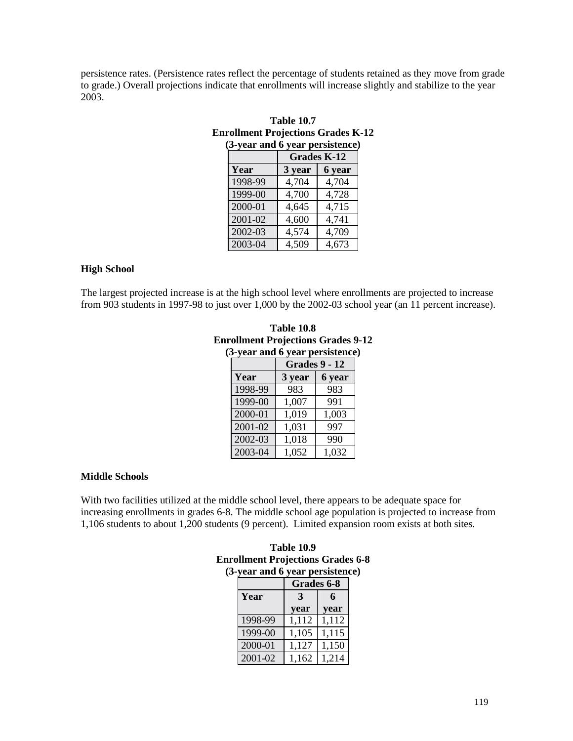persistence rates. (Persistence rates reflect the percentage of students retained as they move from grade to grade.) Overall projections indicate that enrollments will increase slightly and stabilize to the year 2003.

| <b>Table 10.7</b>                         |                         |  |  |  |  |  |
|-------------------------------------------|-------------------------|--|--|--|--|--|
| <b>Enrollment Projections Grades K-12</b> |                         |  |  |  |  |  |
| (3-year and 6 year persistence)           |                         |  |  |  |  |  |
| Grades K-12                               |                         |  |  |  |  |  |
| Year                                      | $3 \text{ year}$ 6 year |  |  |  |  |  |

| Year    | 3 year | 6 year |
|---------|--------|--------|
| 1998-99 | 4,704  | 4,704  |
| 1999-00 | 4,700  | 4,728  |
| 2000-01 | 4,645  | 4,715  |
| 2001-02 | 4,600  | 4,741  |
| 2002-03 | 4,574  | 4,709  |
| 2003-04 | 4,509  | 4,673  |

#### **High School**

The largest projected increase is at the high school level where enrollments are projected to increase from 903 students in 1997-98 to just over 1,000 by the 2002-03 school year (an 11 percent increase).

| <b>Table 10.8</b>                         |  |  |  |  |  |
|-------------------------------------------|--|--|--|--|--|
| <b>Enrollment Projections Grades 9-12</b> |  |  |  |  |  |
| (3-year and 6 year persistence)           |  |  |  |  |  |
| $C_{\text{rades}}$ $\theta$ - 12          |  |  |  |  |  |

|             | <b>Grades 9 - 12</b> |        |  |  |
|-------------|----------------------|--------|--|--|
| Year        | 3 year               | 6 year |  |  |
| 1998-99     | 983                  | 983    |  |  |
| 1999-00     | 1,007                | 991    |  |  |
| 2000-01     | 1,019                | 1,003  |  |  |
| 2001-02     | 1,031                | 997    |  |  |
| 2002-03     | 1,018                | 990    |  |  |
| $2003 - 04$ | 1,052                | 1,032  |  |  |

## **Middle Schools**

With two facilities utilized at the middle school level, there appears to be adequate space for increasing enrollments in grades 6-8. The middle school age population is projected to increase from 1,106 students to about 1,200 students (9 percent). Limited expansion room exists at both sites.

## **Table 10.9 Enrollment Projections Grades 6-8 (3-year and 6 year persistence)**

|         | Grades 6-8 |       |  |  |  |
|---------|------------|-------|--|--|--|
| Year    |            | 6     |  |  |  |
|         | vear       | year  |  |  |  |
| 1998-99 | 1,112      | 1,112 |  |  |  |
| 1999-00 | 1,105      | 1,115 |  |  |  |
| 2000-01 | 1,127      | 1,150 |  |  |  |
| 2001-02 | 1,162      | 1,214 |  |  |  |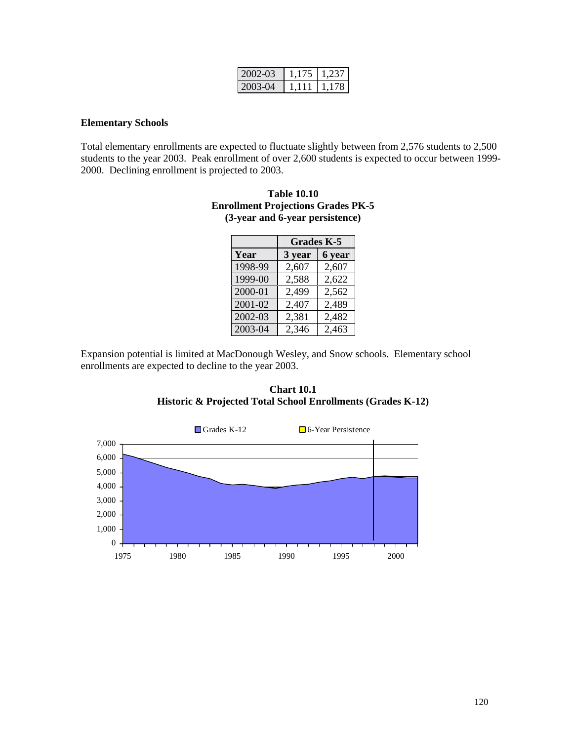| $2002 - 03$  | 1.175  | 1.237 |
|--------------|--------|-------|
| $-2003 - 04$ | -1.111 | 1.178 |

#### **Elementary Schools**

Total elementary enrollments are expected to fluctuate slightly between from 2,576 students to 2,500 students to the year 2003. Peak enrollment of over 2,600 students is expected to occur between 1999- 2000. Declining enrollment is projected to 2003.

| <b>Enrollment Projections Grades PK-5</b> |
|-------------------------------------------|
| (3-year and 6-year persistence)           |
|                                           |

**Table 10.10** 

|         | <b>Grades K-5</b> |        |  |
|---------|-------------------|--------|--|
| Year    | 3 year            | 6 year |  |
| 1998-99 | 2,607             | 2,607  |  |
| 1999-00 | 2,588             | 2,622  |  |
| 2000-01 | 2,499             | 2,562  |  |
| 2001-02 | 2,407             | 2,489  |  |
| 2002-03 | 2,381             | 2,482  |  |
| 2003-04 | 2,346             | 2,463  |  |

Expansion potential is limited at MacDonough Wesley, and Snow schools. Elementary school enrollments are expected to decline to the year 2003.

**Chart 10.1 Historic & Projected Total School Enrollments (Grades K-12)** 

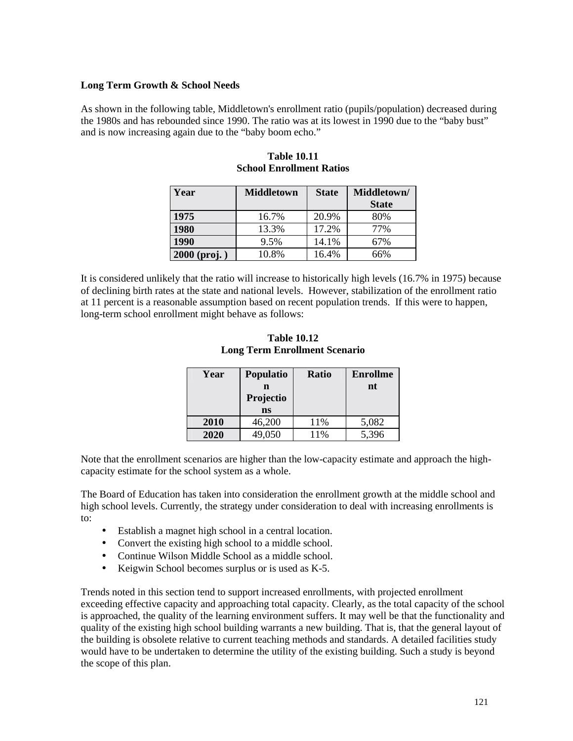## **Long Term Growth & School Needs**

As shown in the following table, Middletown's enrollment ratio (pupils/population) decreased during the 1980s and has rebounded since 1990. The ratio was at its lowest in 1990 due to the "baby bust" and is now increasing again due to the "baby boom echo."

| Year           | <b>Middletown</b> | <b>State</b> | Middletown/  |  |
|----------------|-------------------|--------------|--------------|--|
|                |                   |              | <b>State</b> |  |
| 1975           | 16.7%             | 20.9%        | 80%          |  |
| 1980           | 13.3%             | 17.2%        | 77%          |  |
| 1990           | 9.5%              | 14.1%        | 67%          |  |
| $2000$ (proj.) | 10.8%             | 16.4%        | 66%          |  |

| <b>Table 10.11</b>              |
|---------------------------------|
| <b>School Enrollment Ratios</b> |

It is considered unlikely that the ratio will increase to historically high levels (16.7% in 1975) because of declining birth rates at the state and national levels. However, stabilization of the enrollment ratio at 11 percent is a reasonable assumption based on recent population trends. If this were to happen, long-term school enrollment might behave as follows:

**Table 10.12 Long Term Enrollment Scenario** 

| Year | Populatio                 | <b>Ratio</b> | <b>Enrollme</b> |
|------|---------------------------|--------------|-----------------|
|      | n<br>Projectio            |              | nt              |
|      | $\overline{\textbf{n}}$ s |              |                 |
| 2010 | 46,200                    | 11%          | 5,082           |
| 2020 | 49,050                    | 11%          | 5,396           |

Note that the enrollment scenarios are higher than the low-capacity estimate and approach the highcapacity estimate for the school system as a whole.

The Board of Education has taken into consideration the enrollment growth at the middle school and high school levels. Currently, the strategy under consideration to deal with increasing enrollments is to:

- Establish a magnet high school in a central location.
- Convert the existing high school to a middle school.
- Continue Wilson Middle School as a middle school.
- Keigwin School becomes surplus or is used as K-5.

Trends noted in this section tend to support increased enrollments, with projected enrollment exceeding effective capacity and approaching total capacity. Clearly, as the total capacity of the school is approached, the quality of the learning environment suffers. It may well be that the functionality and quality of the existing high school building warrants a new building. That is, that the general layout of the building is obsolete relative to current teaching methods and standards. A detailed facilities study would have to be undertaken to determine the utility of the existing building. Such a study is beyond the scope of this plan.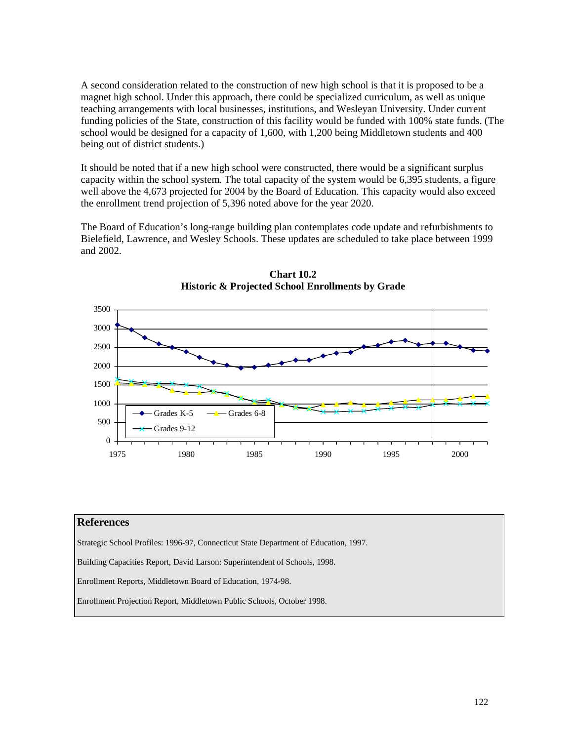A second consideration related to the construction of new high school is that it is proposed to be a magnet high school. Under this approach, there could be specialized curriculum, as well as unique teaching arrangements with local businesses, institutions, and Wesleyan University. Under current funding policies of the State, construction of this facility would be funded with 100% state funds. (The school would be designed for a capacity of 1,600, with 1,200 being Middletown students and 400 being out of district students.)

It should be noted that if a new high school were constructed, there would be a significant surplus capacity within the school system. The total capacity of the system would be 6,395 students, a figure well above the 4,673 projected for 2004 by the Board of Education. This capacity would also exceed the enrollment trend projection of 5,396 noted above for the year 2020.

The Board of Education's long-range building plan contemplates code update and refurbishments to Bielefield, Lawrence, and Wesley Schools. These updates are scheduled to take place between 1999 and 2002.



**Chart 10.2 Historic & Projected School Enrollments by Grade** 

#### **References**

Strategic School Profiles: 1996-97, Connecticut State Department of Education, 1997.

Building Capacities Report, David Larson: Superintendent of Schools, 1998.

Enrollment Reports, Middletown Board of Education, 1974-98.

Enrollment Projection Report, Middletown Public Schools, October 1998.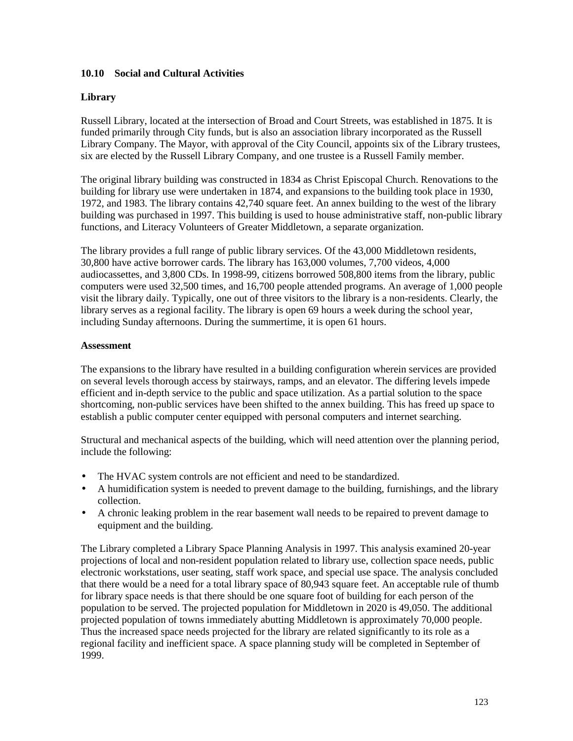## **10.10 Social and Cultural Activities**

## **Library**

Russell Library, located at the intersection of Broad and Court Streets, was established in 1875. It is funded primarily through City funds, but is also an association library incorporated as the Russell Library Company. The Mayor, with approval of the City Council, appoints six of the Library trustees, six are elected by the Russell Library Company, and one trustee is a Russell Family member.

The original library building was constructed in 1834 as Christ Episcopal Church. Renovations to the building for library use were undertaken in 1874, and expansions to the building took place in 1930, 1972, and 1983. The library contains 42,740 square feet. An annex building to the west of the library building was purchased in 1997. This building is used to house administrative staff, non-public library functions, and Literacy Volunteers of Greater Middletown, a separate organization.

The library provides a full range of public library services. Of the 43,000 Middletown residents, 30,800 have active borrower cards. The library has 163,000 volumes, 7,700 videos, 4,000 audiocassettes, and 3,800 CDs. In 1998-99, citizens borrowed 508,800 items from the library, public computers were used 32,500 times, and 16,700 people attended programs. An average of 1,000 people visit the library daily. Typically, one out of three visitors to the library is a non-residents. Clearly, the library serves as a regional facility. The library is open 69 hours a week during the school year, including Sunday afternoons. During the summertime, it is open 61 hours.

## **Assessment**

The expansions to the library have resulted in a building configuration wherein services are provided on several levels thorough access by stairways, ramps, and an elevator. The differing levels impede efficient and in-depth service to the public and space utilization. As a partial solution to the space shortcoming, non-public services have been shifted to the annex building. This has freed up space to establish a public computer center equipped with personal computers and internet searching.

Structural and mechanical aspects of the building, which will need attention over the planning period, include the following:

- The HVAC system controls are not efficient and need to be standardized.
- A humidification system is needed to prevent damage to the building, furnishings, and the library collection.
- A chronic leaking problem in the rear basement wall needs to be repaired to prevent damage to equipment and the building.

The Library completed a Library Space Planning Analysis in 1997. This analysis examined 20-year projections of local and non-resident population related to library use, collection space needs, public electronic workstations, user seating, staff work space, and special use space. The analysis concluded that there would be a need for a total library space of 80,943 square feet. An acceptable rule of thumb for library space needs is that there should be one square foot of building for each person of the population to be served. The projected population for Middletown in 2020 is 49,050. The additional projected population of towns immediately abutting Middletown is approximately 70,000 people. Thus the increased space needs projected for the library are related significantly to its role as a regional facility and inefficient space. A space planning study will be completed in September of 1999.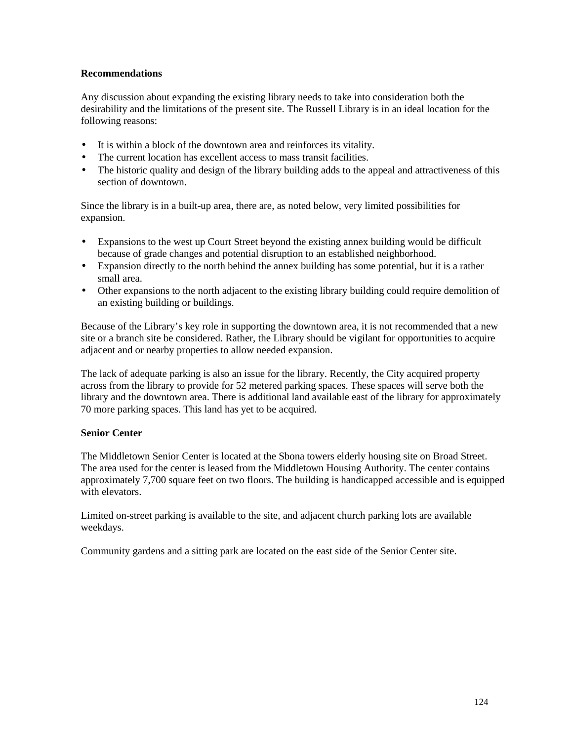## **Recommendations**

Any discussion about expanding the existing library needs to take into consideration both the desirability and the limitations of the present site. The Russell Library is in an ideal location for the following reasons:

- It is within a block of the downtown area and reinforces its vitality.
- The current location has excellent access to mass transit facilities.
- The historic quality and design of the library building adds to the appeal and attractiveness of this section of downtown.

Since the library is in a built-up area, there are, as noted below, very limited possibilities for expansion.

- Expansions to the west up Court Street beyond the existing annex building would be difficult because of grade changes and potential disruption to an established neighborhood.
- Expansion directly to the north behind the annex building has some potential, but it is a rather small area.
- Other expansions to the north adjacent to the existing library building could require demolition of an existing building or buildings.

Because of the Library's key role in supporting the downtown area, it is not recommended that a new site or a branch site be considered. Rather, the Library should be vigilant for opportunities to acquire adjacent and or nearby properties to allow needed expansion.

The lack of adequate parking is also an issue for the library. Recently, the City acquired property across from the library to provide for 52 metered parking spaces. These spaces will serve both the library and the downtown area. There is additional land available east of the library for approximately 70 more parking spaces. This land has yet to be acquired.

## **Senior Center**

The Middletown Senior Center is located at the Sbona towers elderly housing site on Broad Street. The area used for the center is leased from the Middletown Housing Authority. The center contains approximately 7,700 square feet on two floors. The building is handicapped accessible and is equipped with elevators.

Limited on-street parking is available to the site, and adjacent church parking lots are available weekdays.

Community gardens and a sitting park are located on the east side of the Senior Center site.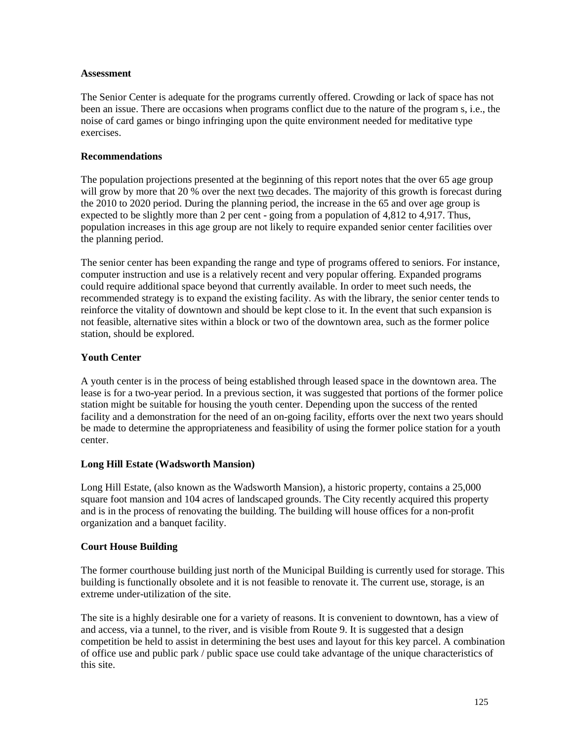#### **Assessment**

The Senior Center is adequate for the programs currently offered. Crowding or lack of space has not been an issue. There are occasions when programs conflict due to the nature of the program s, i.e., the noise of card games or bingo infringing upon the quite environment needed for meditative type exercises.

## **Recommendations**

The population projections presented at the beginning of this report notes that the over 65 age group will grow by more that 20 % over the next two decades. The majority of this growth is forecast during the 2010 to 2020 period. During the planning period, the increase in the 65 and over age group is expected to be slightly more than 2 per cent - going from a population of 4,812 to 4,917. Thus, population increases in this age group are not likely to require expanded senior center facilities over the planning period.

The senior center has been expanding the range and type of programs offered to seniors. For instance, computer instruction and use is a relatively recent and very popular offering. Expanded programs could require additional space beyond that currently available. In order to meet such needs, the recommended strategy is to expand the existing facility. As with the library, the senior center tends to reinforce the vitality of downtown and should be kept close to it. In the event that such expansion is not feasible, alternative sites within a block or two of the downtown area, such as the former police station, should be explored.

## **Youth Center**

A youth center is in the process of being established through leased space in the downtown area. The lease is for a two-year period. In a previous section, it was suggested that portions of the former police station might be suitable for housing the youth center. Depending upon the success of the rented facility and a demonstration for the need of an on-going facility, efforts over the next two years should be made to determine the appropriateness and feasibility of using the former police station for a youth center.

## **Long Hill Estate (Wadsworth Mansion)**

Long Hill Estate, (also known as the Wadsworth Mansion), a historic property, contains a 25,000 square foot mansion and 104 acres of landscaped grounds. The City recently acquired this property and is in the process of renovating the building. The building will house offices for a non-profit organization and a banquet facility.

## **Court House Building**

The former courthouse building just north of the Municipal Building is currently used for storage. This building is functionally obsolete and it is not feasible to renovate it. The current use, storage, is an extreme under-utilization of the site.

The site is a highly desirable one for a variety of reasons. It is convenient to downtown, has a view of and access, via a tunnel, to the river, and is visible from Route 9. It is suggested that a design competition be held to assist in determining the best uses and layout for this key parcel. A combination of office use and public park / public space use could take advantage of the unique characteristics of this site.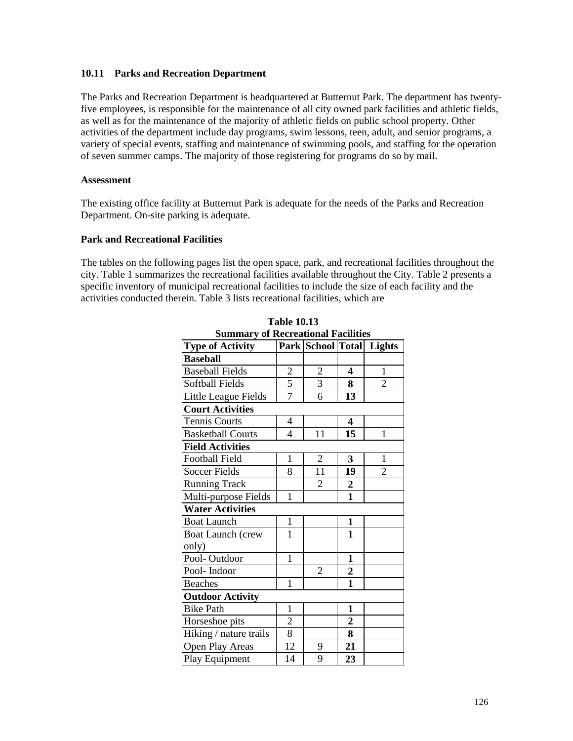#### **10.11 Parks and Recreation Department**

The Parks and Recreation Department is headquartered at Butternut Park. The department has twentyfive employees, is responsible for the maintenance of all city owned park facilities and athletic fields, as well as for the maintenance of the majority of athletic fields on public school property. Other activities of the department include day programs, swim lessons, teen, adult, and senior programs, a variety of special events, staffing and maintenance of swimming pools, and staffing for the operation of seven summer camps. The majority of those registering for programs do so by mail.

#### **Assessment**

The existing office facility at Butternut Park is adequate for the needs of the Parks and Recreation Department. On-site parking is adequate.

## **Park and Recreational Facilities**

The tables on the following pages list the open space, park, and recreational facilities throughout the city. Table 1 summarizes the recreational facilities available throughout the City. Table 2 presents a specific inventory of municipal recreational facilities to include the size of each facility and the activities conducted therein. Table 3 lists recreational facilities, which are

|                          |                                  |                  | Lights                                                 |
|--------------------------|----------------------------------|------------------|--------------------------------------------------------|
|                          |                                  |                  |                                                        |
| $\overline{c}$           | $\overline{c}$                   | 4                | 1                                                      |
|                          |                                  | 8                | $\overline{2}$                                         |
| $\overline{7}$           | 6                                | 13               |                                                        |
|                          |                                  |                  |                                                        |
| $\overline{\mathcal{A}}$ |                                  | 4                |                                                        |
| 4                        | 11                               | 15               | 1                                                      |
|                          |                                  |                  |                                                        |
| $\mathbf{1}$             | $\overline{c}$                   | 3                | 1                                                      |
| 8                        | 11                               | 19               | 2                                                      |
|                          | $\overline{2}$                   | $\boldsymbol{2}$ |                                                        |
| 1                        |                                  | $\mathbf{1}$     |                                                        |
|                          |                                  |                  |                                                        |
| $\mathbf{1}$             |                                  | $\mathbf{1}$     |                                                        |
| 1                        |                                  | 1                |                                                        |
|                          |                                  |                  |                                                        |
| 1                        |                                  | 1                |                                                        |
|                          | $\overline{2}$                   | $\boldsymbol{2}$ |                                                        |
| $\mathbf{1}$             |                                  | $\mathbf{1}$     |                                                        |
|                          |                                  |                  |                                                        |
| 1                        |                                  | 1                |                                                        |
| $\overline{c}$           |                                  | $\boldsymbol{2}$ |                                                        |
|                          |                                  | 8                |                                                        |
| 12                       | 9                                | 21               |                                                        |
| 14                       | 9                                | 23               |                                                        |
|                          | $\overline{5}$<br>$\overline{8}$ | $\overline{3}$   | Summary of Recreational Pacifices<br>Park School Total |

**Table 10.13 Summary of Recreational Facilities**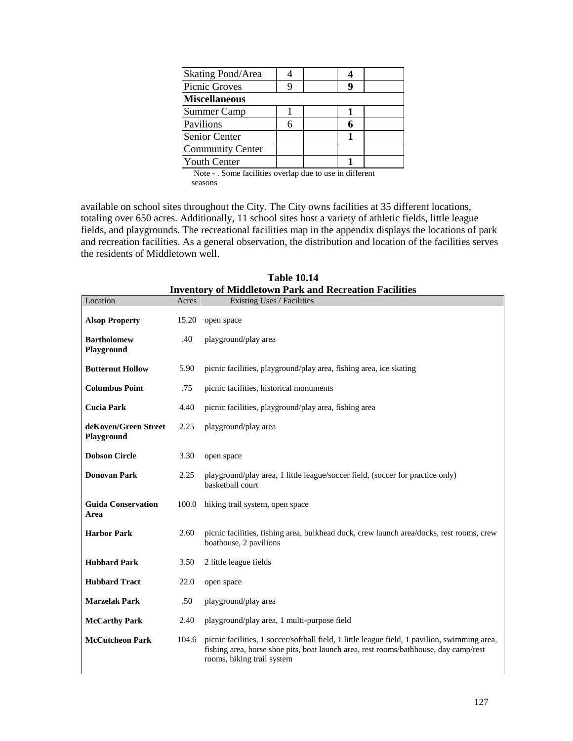| Skating Pond/Area       |   |  |  |
|-------------------------|---|--|--|
| Picnic Groves           |   |  |  |
| <b>Miscellaneous</b>    |   |  |  |
| <b>Summer Camp</b>      |   |  |  |
| Pavilions               | 6 |  |  |
| Senior Center           |   |  |  |
| <b>Community Center</b> |   |  |  |
| <b>Youth Center</b>     |   |  |  |

 Note - . Some facilities overlap due to use in different seasons

available on school sites throughout the City. The City owns facilities at 35 different locations, totaling over 650 acres. Additionally, 11 school sites host a variety of athletic fields, little league fields, and playgrounds. The recreational facilities map in the appendix displays the locations of park and recreation facilities. As a general observation, the distribution and location of the facilities serves the residents of Middletown well.

| Location                           | Acres | Existing Uses / Facilities                                                                                                                                                                                          |
|------------------------------------|-------|---------------------------------------------------------------------------------------------------------------------------------------------------------------------------------------------------------------------|
| <b>Alsop Property</b>              | 15.20 | open space                                                                                                                                                                                                          |
| <b>Bartholomew</b><br>Playground   | .40   | playground/play area                                                                                                                                                                                                |
| <b>Butternut Hollow</b>            | 5.90  | picnic facilities, playground/play area, fishing area, ice skating                                                                                                                                                  |
| <b>Columbus Point</b>              | .75   | picnic facilities, historical monuments                                                                                                                                                                             |
| <b>Cucia Park</b>                  | 4.40  | picnic facilities, playground/play area, fishing area                                                                                                                                                               |
| deKoven/Green Street<br>Playground | 2.25  | playground/play area                                                                                                                                                                                                |
| <b>Dobson Circle</b>               | 3.30  | open space                                                                                                                                                                                                          |
| <b>Donovan Park</b>                | 2.25  | playground/play area, 1 little league/soccer field, (soccer for practice only)<br>basketball court                                                                                                                  |
| <b>Guida Conservation</b><br>Area  | 100.0 | hiking trail system, open space                                                                                                                                                                                     |
| <b>Harbor Park</b>                 | 2.60  | picnic facilities, fishing area, bulkhead dock, crew launch area/docks, rest rooms, crew<br>boathouse, 2 pavilions                                                                                                  |
| <b>Hubbard Park</b>                | 3.50  | 2 little league fields                                                                                                                                                                                              |
| <b>Hubbard Tract</b>               | 22.0  | open space                                                                                                                                                                                                          |
| <b>Marzelak Park</b>               | .50   | playground/play area                                                                                                                                                                                                |
| <b>McCarthy Park</b>               | 2.40  | playground/play area, 1 multi-purpose field                                                                                                                                                                         |
| <b>McCutcheon Park</b>             | 104.6 | picnic facilities, 1 soccer/softball field, 1 little league field, 1 pavilion, swimming area,<br>fishing area, horse shoe pits, boat launch area, rest rooms/bathhouse, day camp/rest<br>rooms, hiking trail system |

**Table 10.14 Inventory of Middletown Park and Recreation Facilities**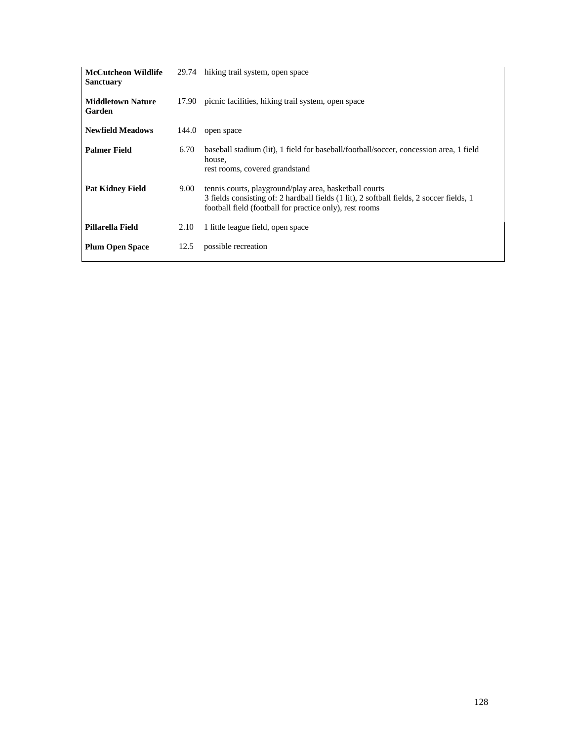| <b>McCutcheon Wildlife</b><br><b>Sanctuary</b> |       | 29.74 hiking trail system, open space                                                                                                                                                                         |
|------------------------------------------------|-------|---------------------------------------------------------------------------------------------------------------------------------------------------------------------------------------------------------------|
| <b>Middletown Nature</b><br>Garden             | 17.90 | picnic facilities, hiking trail system, open space                                                                                                                                                            |
| <b>Newfield Meadows</b>                        | 144.0 | open space                                                                                                                                                                                                    |
| <b>Palmer Field</b>                            | 6.70  | baseball stadium (lit), 1 field for baseball/football/soccer, concession area, 1 field<br>house,<br>rest rooms, covered grandstand                                                                            |
| <b>Pat Kidney Field</b>                        | 9.00  | tennis courts, playground/play area, basketball courts<br>3 fields consisting of: 2 hardball fields (1 lit), 2 softball fields, 2 soccer fields, 1<br>football field (football for practice only), rest rooms |
| Pillarella Field                               | 2.10  | 1 little league field, open space                                                                                                                                                                             |
| <b>Plum Open Space</b>                         | 12.5  | possible recreation                                                                                                                                                                                           |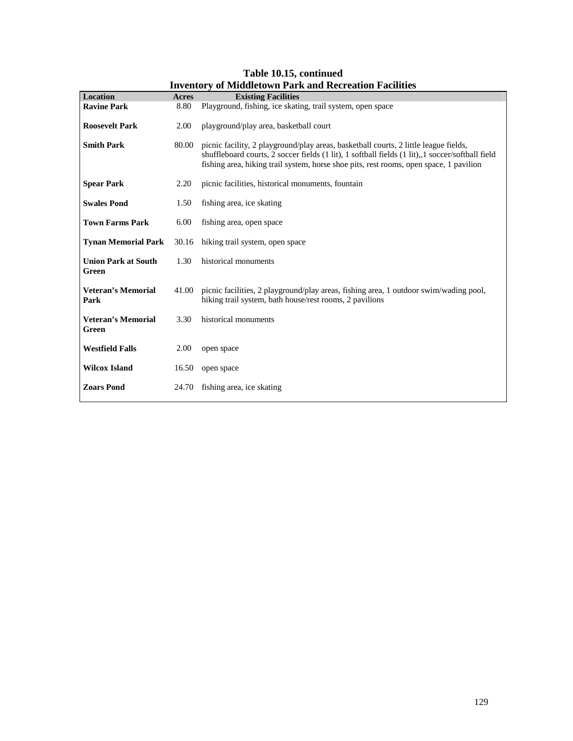| <b>Location</b>                     | Acres | Inventory of Middletown Fark and Recreation Facilities<br><b>Existing Facilities</b>                                                                                                                                                                                               |
|-------------------------------------|-------|------------------------------------------------------------------------------------------------------------------------------------------------------------------------------------------------------------------------------------------------------------------------------------|
| <b>Ravine Park</b>                  | 8.80  | Playground, fishing, ice skating, trail system, open space                                                                                                                                                                                                                         |
| <b>Roosevelt Park</b>               | 2.00  | playground/play area, basketball court                                                                                                                                                                                                                                             |
| <b>Smith Park</b>                   | 80.00 | picnic facility, 2 playground/play areas, basketball courts, 2 little league fields,<br>shuffleboard courts, 2 soccer fields (1 lit), 1 softball fields (1 lit), 1 soccer/softball field<br>fishing area, hiking trail system, horse shoe pits, rest rooms, open space, 1 pavilion |
| <b>Spear Park</b>                   | 2.20  | picnic facilities, historical monuments, fountain                                                                                                                                                                                                                                  |
| <b>Swales Pond</b>                  | 1.50  | fishing area, ice skating                                                                                                                                                                                                                                                          |
| <b>Town Farms Park</b>              | 6.00  | fishing area, open space                                                                                                                                                                                                                                                           |
| <b>Tynan Memorial Park</b>          | 30.16 | hiking trail system, open space                                                                                                                                                                                                                                                    |
| <b>Union Park at South</b><br>Green | 1.30  | historical monuments                                                                                                                                                                                                                                                               |
| <b>Veteran's Memorial</b><br>Park   | 41.00 | picnic facilities, 2 playground/play areas, fishing area, 1 outdoor swim/wading pool,<br>hiking trail system, bath house/rest rooms, 2 pavilions                                                                                                                                   |
| <b>Veteran's Memorial</b><br>Green  | 3.30  | historical monuments                                                                                                                                                                                                                                                               |
| <b>Westfield Falls</b>              | 2.00  | open space                                                                                                                                                                                                                                                                         |
| <b>Wilcox Island</b>                | 16.50 | open space                                                                                                                                                                                                                                                                         |
| <b>Zoars Pond</b>                   | 24.70 | fishing area, ice skating                                                                                                                                                                                                                                                          |

**Table 10.15, continued Inventory of Middletown Park and Recreation Facilities**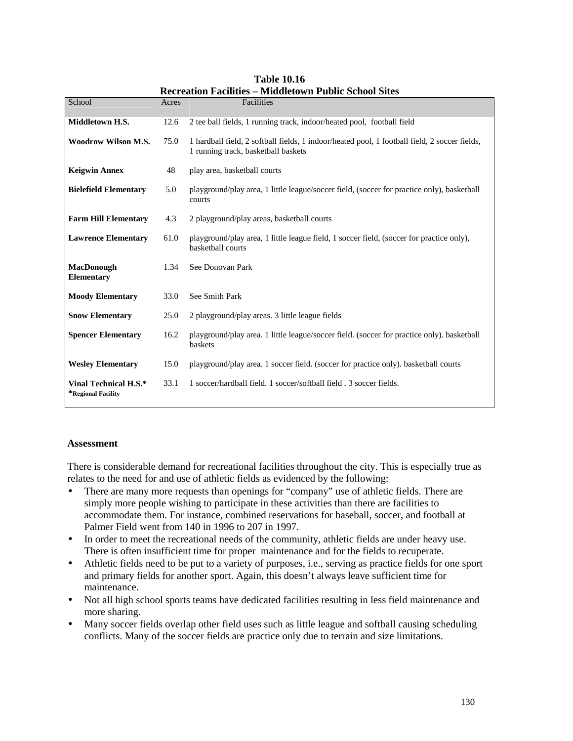| School                                      | Acres | Facilities                                                                                                                           |
|---------------------------------------------|-------|--------------------------------------------------------------------------------------------------------------------------------------|
| Middletown H.S.                             | 12.6  | 2 tee ball fields, 1 running track, indoor/heated pool, football field                                                               |
| <b>Woodrow Wilson M.S.</b>                  | 75.0  | 1 hardball field, 2 softball fields, 1 indoor/heated pool, 1 football field, 2 soccer fields,<br>1 running track, basketball baskets |
| <b>Keigwin Annex</b>                        | 48    | play area, basketball courts                                                                                                         |
| <b>Bielefield Elementary</b>                | 5.0   | playground/play area, 1 little league/soccer field, (soccer for practice only), basketball<br>courts                                 |
| <b>Farm Hill Elementary</b>                 | 4.3   | 2 playground/play areas, basketball courts                                                                                           |
| <b>Lawrence Elementary</b>                  | 61.0  | playground/play area, 1 little league field, 1 soccer field, (soccer for practice only),<br>basketball courts                        |
| <b>MacDonough</b><br>Elementary             | 1.34  | See Donovan Park                                                                                                                     |
| <b>Moody Elementary</b>                     | 33.0  | See Smith Park                                                                                                                       |
| <b>Snow Elementary</b>                      | 25.0  | 2 playground/play areas. 3 little league fields                                                                                      |
| <b>Spencer Elementary</b>                   | 16.2  | playground/play area. 1 little league/soccer field. (soccer for practice only). basketball<br>baskets                                |
| <b>Wesley Elementary</b>                    | 15.0  | playground/play area. 1 soccer field. (soccer for practice only). basketball courts                                                  |
| Vinal Technical H.S.*<br>*Regional Facility | 33.1  | 1 soccer/hardball field, 1 soccer/softball field, 3 soccer fields.                                                                   |

**Table 10.16 Recreation Facilities – Middletown Public School Sites** 

#### **Assessment**

There is considerable demand for recreational facilities throughout the city. This is especially true as relates to the need for and use of athletic fields as evidenced by the following:

- There are many more requests than openings for "company" use of athletic fields. There are simply more people wishing to participate in these activities than there are facilities to accommodate them. For instance, combined reservations for baseball, soccer, and football at Palmer Field went from 140 in 1996 to 207 in 1997.
- In order to meet the recreational needs of the community, athletic fields are under heavy use. There is often insufficient time for proper maintenance and for the fields to recuperate.
- Athletic fields need to be put to a variety of purposes, i.e., serving as practice fields for one sport and primary fields for another sport. Again, this doesn't always leave sufficient time for maintenance.
- Not all high school sports teams have dedicated facilities resulting in less field maintenance and more sharing.
- Many soccer fields overlap other field uses such as little league and softball causing scheduling conflicts. Many of the soccer fields are practice only due to terrain and size limitations.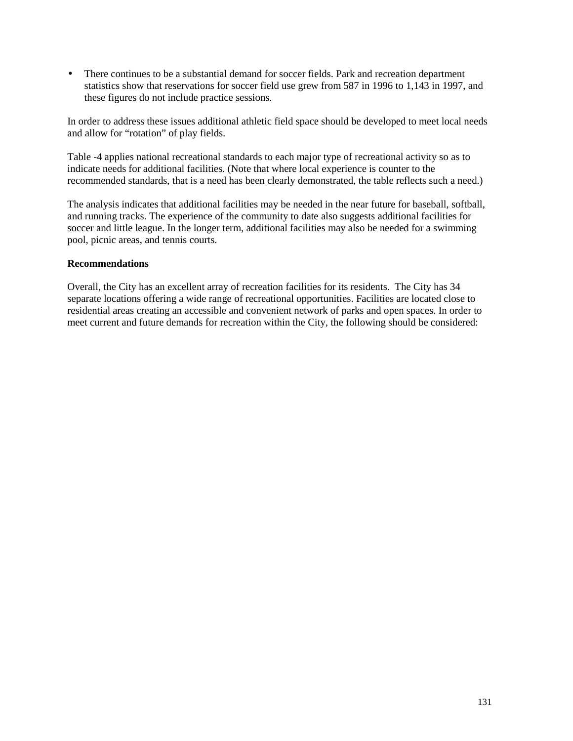• There continues to be a substantial demand for soccer fields. Park and recreation department statistics show that reservations for soccer field use grew from 587 in 1996 to 1,143 in 1997, and these figures do not include practice sessions.

In order to address these issues additional athletic field space should be developed to meet local needs and allow for "rotation" of play fields.

Table -4 applies national recreational standards to each major type of recreational activity so as to indicate needs for additional facilities. (Note that where local experience is counter to the recommended standards, that is a need has been clearly demonstrated, the table reflects such a need.)

The analysis indicates that additional facilities may be needed in the near future for baseball, softball, and running tracks. The experience of the community to date also suggests additional facilities for soccer and little league. In the longer term, additional facilities may also be needed for a swimming pool, picnic areas, and tennis courts.

#### **Recommendations**

Overall, the City has an excellent array of recreation facilities for its residents. The City has 34 separate locations offering a wide range of recreational opportunities. Facilities are located close to residential areas creating an accessible and convenient network of parks and open spaces. In order to meet current and future demands for recreation within the City, the following should be considered: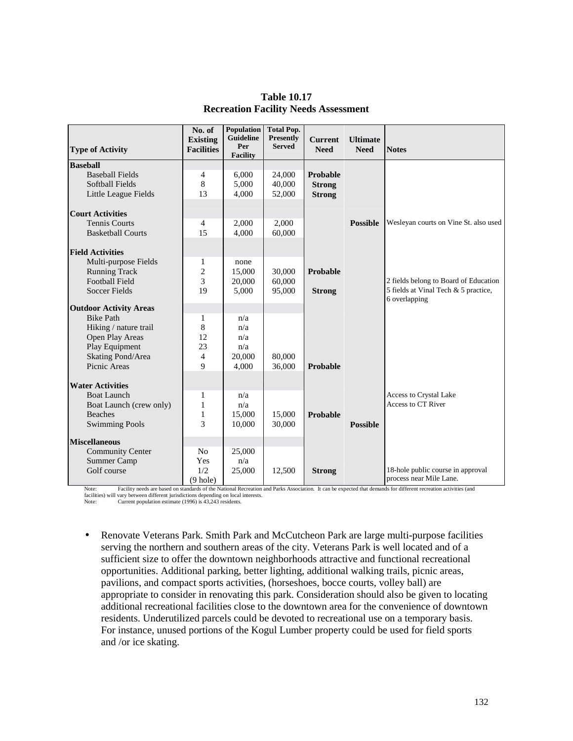| <b>Type of Activity</b>             | No. of<br><b>Existing</b><br><b>Facilities</b> | <b>Population</b><br>Guideline<br>Per | <b>Total Pop.</b><br><b>Presently</b><br><b>Served</b> | <b>Current</b><br><b>Need</b> | <b>Ultimate</b><br><b>Need</b> | <b>Notes</b>                                                 |
|-------------------------------------|------------------------------------------------|---------------------------------------|--------------------------------------------------------|-------------------------------|--------------------------------|--------------------------------------------------------------|
|                                     |                                                | <b>Facility</b>                       |                                                        |                               |                                |                                                              |
| <b>Baseball</b>                     |                                                |                                       |                                                        |                               |                                |                                                              |
| <b>Baseball Fields</b>              | $\overline{4}$                                 | 6.000                                 | 24,000                                                 | Probable                      |                                |                                                              |
| <b>Softball Fields</b>              | $\,8\,$                                        | 5,000                                 | 40,000                                                 | <b>Strong</b>                 |                                |                                                              |
| Little League Fields                | 13                                             | 4,000                                 | 52,000                                                 | <b>Strong</b>                 |                                |                                                              |
| <b>Court Activities</b>             |                                                |                                       |                                                        |                               |                                |                                                              |
| <b>Tennis Courts</b>                | $\overline{4}$                                 | 2,000                                 | 2,000                                                  |                               | <b>Possible</b>                | Wesleyan courts on Vine St. also used                        |
| <b>Basketball Courts</b>            | 15                                             | 4,000                                 | 60,000                                                 |                               |                                |                                                              |
|                                     |                                                |                                       |                                                        |                               |                                |                                                              |
| <b>Field Activities</b>             |                                                |                                       |                                                        |                               |                                |                                                              |
| Multi-purpose Fields                | $\mathbf{1}$                                   | none                                  |                                                        |                               |                                |                                                              |
| <b>Running Track</b>                | $\overline{2}$                                 | 15,000                                | 30,000                                                 | Probable                      |                                |                                                              |
| <b>Football Field</b>               | $\overline{3}$                                 | 20,000                                | 60,000                                                 |                               |                                | 2 fields belong to Board of Education                        |
| <b>Soccer Fields</b>                | 19                                             | 5,000                                 | 95,000                                                 | <b>Strong</b>                 |                                | 5 fields at Vinal Tech & 5 practice,                         |
|                                     |                                                |                                       |                                                        |                               |                                | 6 overlapping                                                |
| <b>Outdoor Activity Areas</b>       |                                                |                                       |                                                        |                               |                                |                                                              |
| <b>Bike Path</b>                    | $\mathbf{1}$                                   | n/a                                   |                                                        |                               |                                |                                                              |
| Hiking / nature trail               | 8                                              | n/a                                   |                                                        |                               |                                |                                                              |
| Open Play Areas                     | 12                                             | n/a<br>n/a                            |                                                        |                               |                                |                                                              |
| Play Equipment<br>Skating Pond/Area | 23<br>$\overline{4}$                           | 20,000                                | 80,000                                                 |                               |                                |                                                              |
| Picnic Areas                        | 9                                              |                                       |                                                        | Probable                      |                                |                                                              |
|                                     |                                                | 4,000                                 | 36,000                                                 |                               |                                |                                                              |
| <b>Water Activities</b>             |                                                |                                       |                                                        |                               |                                |                                                              |
| <b>Boat Launch</b>                  | 1                                              | n/a                                   |                                                        |                               |                                | Access to Crystal Lake                                       |
| Boat Launch (crew only)             | $\mathbf{1}$                                   | n/a                                   |                                                        |                               |                                | Access to CT River                                           |
| <b>Beaches</b>                      | $\mathbf{1}$                                   | 15,000                                | 15,000                                                 | Probable                      |                                |                                                              |
| <b>Swimming Pools</b>               | 3                                              | 10,000                                | 30,000                                                 |                               | <b>Possible</b>                |                                                              |
|                                     |                                                |                                       |                                                        |                               |                                |                                                              |
| <b>Miscellaneous</b>                |                                                |                                       |                                                        |                               |                                |                                                              |
| <b>Community Center</b>             | N <sub>0</sub>                                 | 25,000                                |                                                        |                               |                                |                                                              |
| Summer Camp<br>Golf course          | Yes<br>1/2                                     | n/a                                   |                                                        |                               |                                |                                                              |
|                                     |                                                | 25,000                                | 12,500                                                 | <b>Strong</b>                 |                                | 18-hole public course in approval<br>process near Mile Lane. |
|                                     | $(9$ hole)                                     |                                       |                                                        |                               |                                |                                                              |

## **Table 10.17 Recreation Facility Needs Assessment**

Note: Facility needs are based on standards of the National Recreation and Parks Association. It can be expected that demands for different recreation activities (and facilities) will vary between different jurisdictions depending on local interests. Note: Current population estimate (1996) is 43,243 residents.

- Renovate Veterans Park. Smith Park and McCutcheon Park are large multi-purpose facilities serving the northern and southern areas of the city. Veterans Park is well located and of a sufficient size to offer the downtown neighborhoods attractive and functional recreational opportunities. Additional parking, better lighting, additional walking trails, picnic areas,
	- pavilions, and compact sports activities, (horseshoes, bocce courts, volley ball) are appropriate to consider in renovating this park. Consideration should also be given to locating additional recreational facilities close to the downtown area for the convenience of downtown residents. Underutilized parcels could be devoted to recreational use on a temporary basis. For instance, unused portions of the Kogul Lumber property could be used for field sports and /or ice skating.